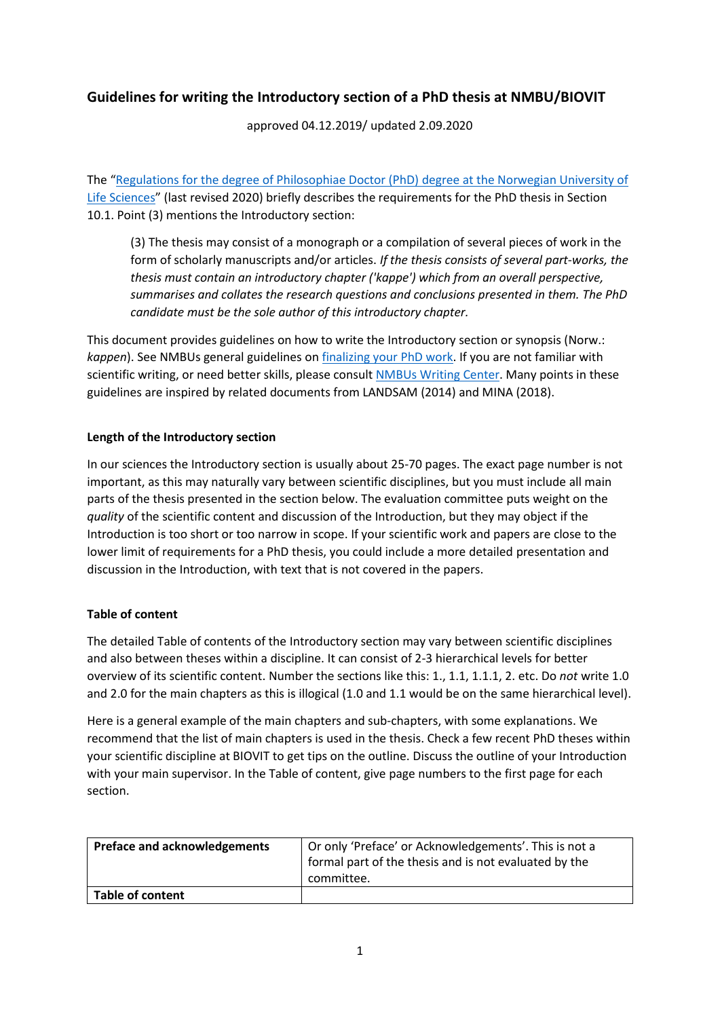# **Guidelines for writing the Introductory section of a PhD thesis at NMBU/BIOVIT**

approved 04.12.2019/ updated 2.09.2020

The "[Regulations for the degree of Philosophiae Doctor \(PhD\) degree at the Norwegian University of](https://www.nmbu.no/download/file/fid/29209)  [Life Sciences](https://www.nmbu.no/download/file/fid/29209)" (last revised 2020) briefly describes the requirements for the PhD thesis in Section 10.1. Point (3) mentions the Introductory section:

(3) The thesis may consist of a monograph or a compilation of several pieces of work in the form of scholarly manuscripts and/or articles. *If the thesis consists of several part-works, the thesis must contain an introductory chapter ('kappe') which from an overall perspective, summarises and collates the research questions and conclusions presented in them. The PhD candidate must be the sole author of this introductory chapter.* 

This document provides guidelines on how to write the Introductory section or synopsis (Norw.: *kappen*). See NMBUs general guidelines on [finalizing your PhD work.](https://www.nmbu.no/en/research/phd/finalisation) If you are not familiar with scientific writing, or need better skills, please consult [NMBUs Writing Center.](https://www.nmbu.no/ansatt/kompetanse/kurstilbud/kurs/node/35239) Many points in these guidelines are inspired by related documents from LANDSAM (2014) and MINA (2018).

## **Length of the Introductory section**

In our sciences the Introductory section is usually about 25-70 pages. The exact page number is not important, as this may naturally vary between scientific disciplines, but you must include all main parts of the thesis presented in the section below. The evaluation committee puts weight on the *quality* of the scientific content and discussion of the Introduction, but they may object if the Introduction is too short or too narrow in scope. If your scientific work and papers are close to the lower limit of requirements for a PhD thesis, you could include a more detailed presentation and discussion in the Introduction, with text that is not covered in the papers.

### **Table of content**

The detailed Table of contents of the Introductory section may vary between scientific disciplines and also between theses within a discipline. It can consist of 2-3 hierarchical levels for better overview of its scientific content. Number the sections like this: 1., 1.1, 1.1.1, 2. etc. Do *not* write 1.0 and 2.0 for the main chapters as this is illogical (1.0 and 1.1 would be on the same hierarchical level).

Here is a general example of the main chapters and sub-chapters, with some explanations. We recommend that the list of main chapters is used in the thesis. Check a few recent PhD theses within your scientific discipline at BIOVIT to get tips on the outline. Discuss the outline of your Introduction with your main supervisor. In the Table of content, give page numbers to the first page for each section.

| <b>Preface and acknowledgements</b> | Or only 'Preface' or Acknowledgements'. This is not a |
|-------------------------------------|-------------------------------------------------------|
|                                     | formal part of the thesis and is not evaluated by the |
|                                     | committee.                                            |
| <b>Table of content</b>             |                                                       |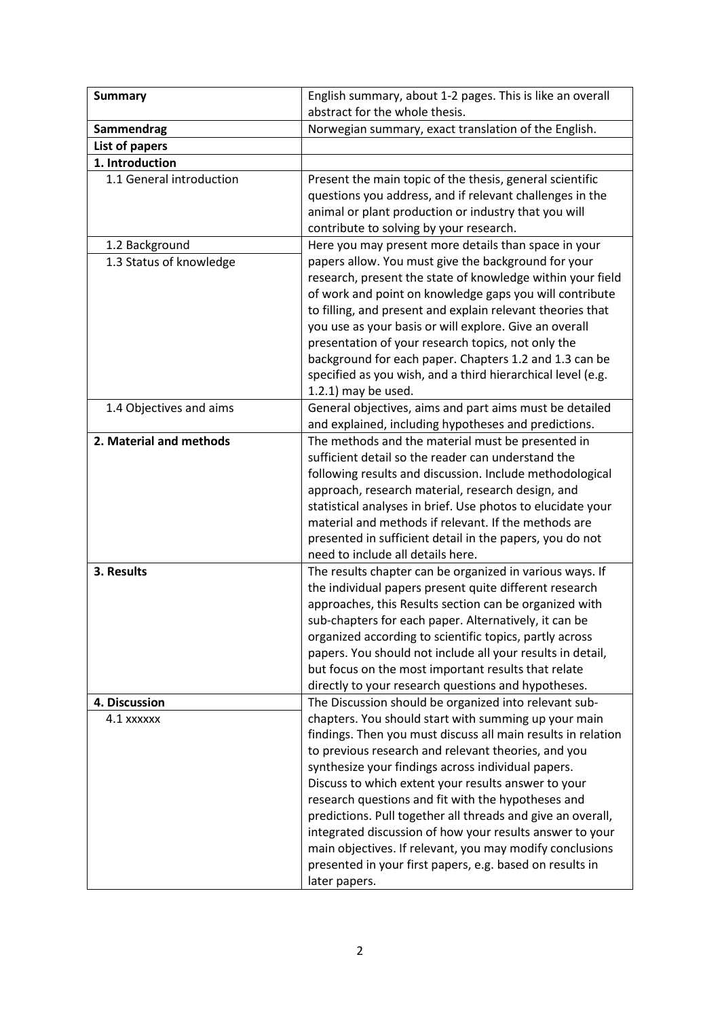| <b>Summary</b>           | English summary, about 1-2 pages. This is like an overall<br>abstract for the whole thesis.                     |
|--------------------------|-----------------------------------------------------------------------------------------------------------------|
| Sammendrag               | Norwegian summary, exact translation of the English.                                                            |
| List of papers           |                                                                                                                 |
| 1. Introduction          |                                                                                                                 |
| 1.1 General introduction | Present the main topic of the thesis, general scientific                                                        |
|                          | questions you address, and if relevant challenges in the                                                        |
|                          | animal or plant production or industry that you will                                                            |
|                          | contribute to solving by your research.                                                                         |
| 1.2 Background           | Here you may present more details than space in your                                                            |
| 1.3 Status of knowledge  | papers allow. You must give the background for your                                                             |
|                          | research, present the state of knowledge within your field                                                      |
|                          | of work and point on knowledge gaps you will contribute                                                         |
|                          | to filling, and present and explain relevant theories that                                                      |
|                          | you use as your basis or will explore. Give an overall                                                          |
|                          | presentation of your research topics, not only the                                                              |
|                          | background for each paper. Chapters 1.2 and 1.3 can be                                                          |
|                          | specified as you wish, and a third hierarchical level (e.g.                                                     |
|                          | 1.2.1) may be used.                                                                                             |
| 1.4 Objectives and aims  | General objectives, aims and part aims must be detailed                                                         |
|                          | and explained, including hypotheses and predictions.                                                            |
| 2. Material and methods  | The methods and the material must be presented in                                                               |
|                          | sufficient detail so the reader can understand the                                                              |
|                          | following results and discussion. Include methodological                                                        |
|                          | approach, research material, research design, and                                                               |
|                          | statistical analyses in brief. Use photos to elucidate your                                                     |
|                          | material and methods if relevant. If the methods are                                                            |
|                          | presented in sufficient detail in the papers, you do not                                                        |
|                          | need to include all details here.                                                                               |
| 3. Results               | The results chapter can be organized in various ways. If                                                        |
|                          | the individual papers present quite different research                                                          |
|                          | approaches, this Results section can be organized with<br>sub-chapters for each paper. Alternatively, it can be |
|                          | organized according to scientific topics, partly across                                                         |
|                          | papers. You should not include all your results in detail,                                                      |
|                          | but focus on the most important results that relate                                                             |
|                          | directly to your research questions and hypotheses.                                                             |
| 4. Discussion            | The Discussion should be organized into relevant sub-                                                           |
| 4.1 xxxxxx               | chapters. You should start with summing up your main                                                            |
|                          | findings. Then you must discuss all main results in relation                                                    |
|                          | to previous research and relevant theories, and you                                                             |
|                          | synthesize your findings across individual papers.                                                              |
|                          | Discuss to which extent your results answer to your                                                             |
|                          | research questions and fit with the hypotheses and                                                              |
|                          | predictions. Pull together all threads and give an overall,                                                     |
|                          | integrated discussion of how your results answer to your                                                        |
|                          | main objectives. If relevant, you may modify conclusions                                                        |
|                          | presented in your first papers, e.g. based on results in                                                        |
|                          | later papers.                                                                                                   |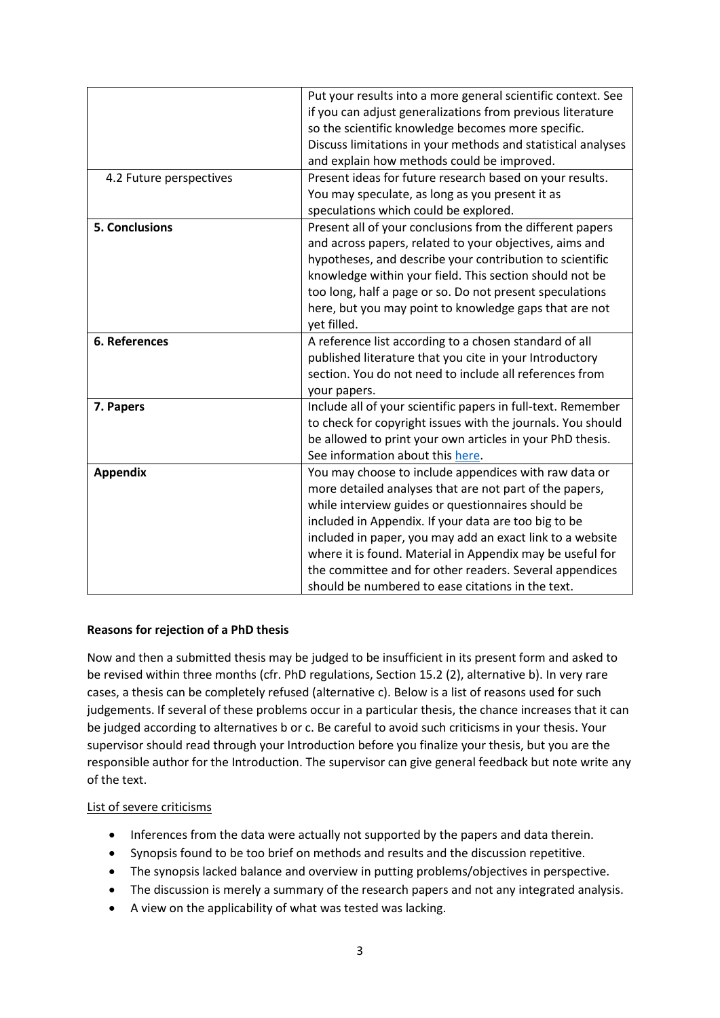|                         | Put your results into a more general scientific context. See<br>if you can adjust generalizations from previous literature<br>so the scientific knowledge becomes more specific.<br>Discuss limitations in your methods and statistical analyses<br>and explain how methods could be improved.                                                                                                                                                                           |
|-------------------------|--------------------------------------------------------------------------------------------------------------------------------------------------------------------------------------------------------------------------------------------------------------------------------------------------------------------------------------------------------------------------------------------------------------------------------------------------------------------------|
| 4.2 Future perspectives | Present ideas for future research based on your results.<br>You may speculate, as long as you present it as<br>speculations which could be explored.                                                                                                                                                                                                                                                                                                                     |
| <b>5. Conclusions</b>   | Present all of your conclusions from the different papers<br>and across papers, related to your objectives, aims and<br>hypotheses, and describe your contribution to scientific<br>knowledge within your field. This section should not be<br>too long, half a page or so. Do not present speculations<br>here, but you may point to knowledge gaps that are not<br>yet filled.                                                                                         |
| 6. References           | A reference list according to a chosen standard of all<br>published literature that you cite in your Introductory<br>section. You do not need to include all references from<br>your papers.                                                                                                                                                                                                                                                                             |
| 7. Papers               | Include all of your scientific papers in full-text. Remember<br>to check for copyright issues with the journals. You should<br>be allowed to print your own articles in your PhD thesis.<br>See information about this here.                                                                                                                                                                                                                                             |
| <b>Appendix</b>         | You may choose to include appendices with raw data or<br>more detailed analyses that are not part of the papers,<br>while interview guides or questionnaires should be<br>included in Appendix. If your data are too big to be<br>included in paper, you may add an exact link to a website<br>where it is found. Material in Appendix may be useful for<br>the committee and for other readers. Several appendices<br>should be numbered to ease citations in the text. |

### **Reasons for rejection of a PhD thesis**

Now and then a submitted thesis may be judged to be insufficient in its present form and asked to be revised within three months (cfr. PhD regulations, Section 15.2 (2), alternative b). In very rare cases, a thesis can be completely refused (alternative c). Below is a list of reasons used for such judgements. If several of these problems occur in a particular thesis, the chance increases that it can be judged according to alternatives b or c. Be careful to avoid such criticisms in your thesis. Your supervisor should read through your Introduction before you finalize your thesis, but you are the responsible author for the Introduction. The supervisor can give general feedback but note write any of the text.

#### List of severe criticisms

- Inferences from the data were actually not supported by the papers and data therein.
- Synopsis found to be too brief on methods and results and the discussion repetitive.
- The synopsis lacked balance and overview in putting problems/objectives in perspective.
- The discussion is merely a summary of the research papers and not any integrated analysis.
- A view on the applicability of what was tested was lacking.